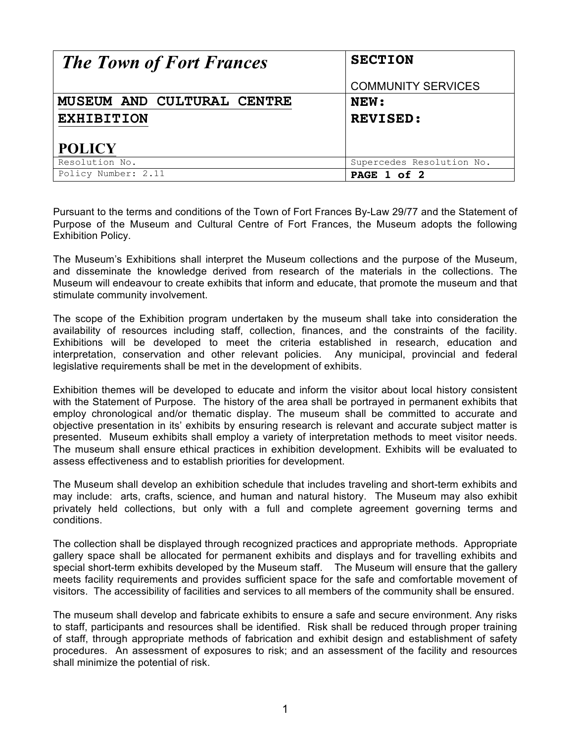| <b>The Town of Fort Frances</b> | <b>SECTION</b>            |
|---------------------------------|---------------------------|
|                                 | <b>COMMUNITY SERVICES</b> |
| MUSEUM AND CULTURAL CENTRE      | NEW:                      |
| <b>EXHIBITION</b>               | <b>REVISED:</b>           |
| <b>POLICY</b>                   |                           |
| Resolution No.                  | Supercedes Resolution No. |
| Policy Number: 2.11             | PAGE 1 of 2               |

Pursuant to the terms and conditions of the Town of Fort Frances By-Law 29/77 and the Statement of Purpose of the Museum and Cultural Centre of Fort Frances, the Museum adopts the following Exhibition Policy.

The Museum's Exhibitions shall interpret the Museum collections and the purpose of the Museum, and disseminate the knowledge derived from research of the materials in the collections. The Museum will endeavour to create exhibits that inform and educate, that promote the museum and that stimulate community involvement.

The scope of the Exhibition program undertaken by the museum shall take into consideration the availability of resources including staff, collection, finances, and the constraints of the facility. Exhibitions will be developed to meet the criteria established in research, education and interpretation, conservation and other relevant policies. Any municipal, provincial and federal legislative requirements shall be met in the development of exhibits.

Exhibition themes will be developed to educate and inform the visitor about local history consistent with the Statement of Purpose. The history of the area shall be portrayed in permanent exhibits that employ chronological and/or thematic display. The museum shall be committed to accurate and objective presentation in its' exhibits by ensuring research is relevant and accurate subject matter is presented. Museum exhibits shall employ a variety of interpretation methods to meet visitor needs. The museum shall ensure ethical practices in exhibition development. Exhibits will be evaluated to assess effectiveness and to establish priorities for development.

The Museum shall develop an exhibition schedule that includes traveling and short-term exhibits and may include: arts, crafts, science, and human and natural history. The Museum may also exhibit privately held collections, but only with a full and complete agreement governing terms and conditions.

The collection shall be displayed through recognized practices and appropriate methods. Appropriate gallery space shall be allocated for permanent exhibits and displays and for travelling exhibits and special short-term exhibits developed by the Museum staff. The Museum will ensure that the gallery meets facility requirements and provides sufficient space for the safe and comfortable movement of visitors. The accessibility of facilities and services to all members of the community shall be ensured.

The museum shall develop and fabricate exhibits to ensure a safe and secure environment. Any risks to staff, participants and resources shall be identified. Risk shall be reduced through proper training of staff, through appropriate methods of fabrication and exhibit design and establishment of safety procedures. An assessment of exposures to risk; and an assessment of the facility and resources shall minimize the potential of risk.